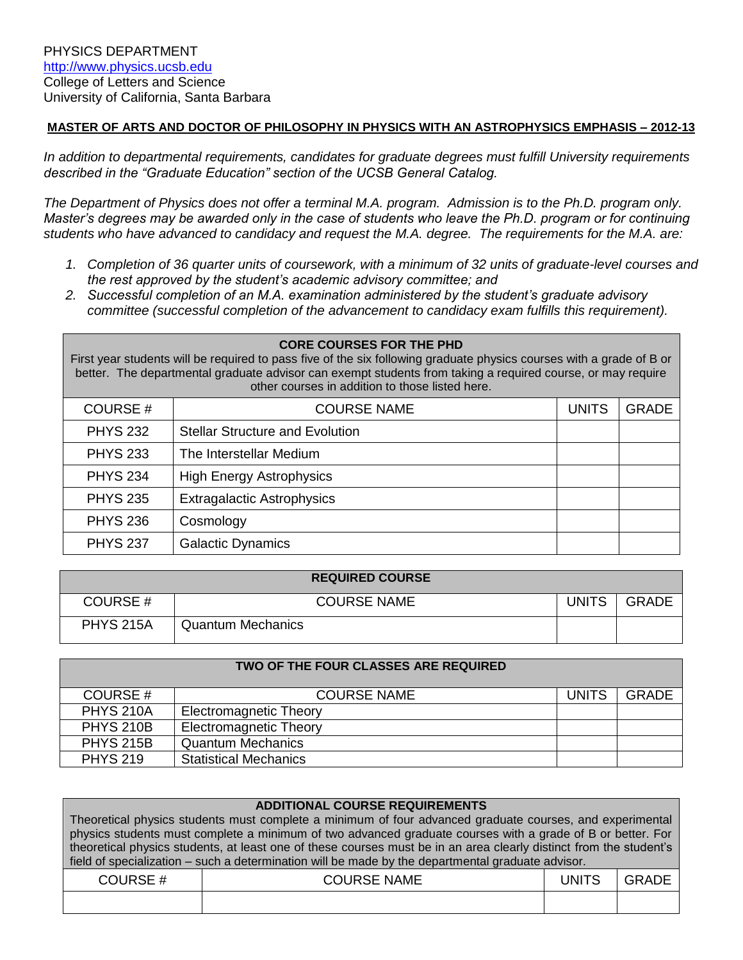#### **MASTER OF ARTS AND DOCTOR OF PHILOSOPHY IN PHYSICS WITH AN ASTROPHYSICS EMPHASIS – 2012-13**

*In addition to departmental requirements, candidates for graduate degrees must fulfill University requirements described in the "Graduate Education" section of the UCSB General Catalog.*

*The Department of Physics does not offer a terminal M.A. program. Admission is to the Ph.D. program only. Master's degrees may be awarded only in the case of students who leave the Ph.D. program or for continuing students who have advanced to candidacy and request the M.A. degree. The requirements for the M.A. are:*

- *1. Completion of 36 quarter units of coursework, with a minimum of 32 units of graduate-level courses and the rest approved by the student's academic advisory committee; and*
- *2. Successful completion of an M.A. examination administered by the student's graduate advisory committee (successful completion of the advancement to candidacy exam fulfills this requirement).*

# **CORE COURSES FOR THE PHD**

First year students will be required to pass five of the six following graduate physics courses with a grade of B or better. The departmental graduate advisor can exempt students from taking a required course, or may require other courses in addition to those listed here.

| COURSE#         | <b>COURSE NAME</b>                     | <b>UNITS</b> | GRADE |
|-----------------|----------------------------------------|--------------|-------|
| <b>PHYS 232</b> | <b>Stellar Structure and Evolution</b> |              |       |
| <b>PHYS 233</b> | The Interstellar Medium                |              |       |
| <b>PHYS 234</b> | <b>High Energy Astrophysics</b>        |              |       |
| <b>PHYS 235</b> | <b>Extragalactic Astrophysics</b>      |              |       |
| <b>PHYS 236</b> | Cosmology                              |              |       |
| <b>PHYS 237</b> | <b>Galactic Dynamics</b>               |              |       |

| <b>REQUIRED COURSE</b> |                          |              |              |  |
|------------------------|--------------------------|--------------|--------------|--|
| COURSE#                | <b>COURSE NAME</b>       | <b>UNITS</b> | <b>GRADE</b> |  |
| <b>PHYS 215A</b>       | <b>Quantum Mechanics</b> |              |              |  |

| TWO OF THE FOUR CLASSES ARE REQUIRED |                               |              |              |
|--------------------------------------|-------------------------------|--------------|--------------|
| COURSE#                              | <b>COURSE NAME</b>            | <b>UNITS</b> | <b>GRADE</b> |
| <b>PHYS 210A</b>                     | <b>Electromagnetic Theory</b> |              |              |
| <b>PHYS 210B</b>                     | <b>Electromagnetic Theory</b> |              |              |
| <b>PHYS 215B</b>                     | <b>Quantum Mechanics</b>      |              |              |
| <b>PHYS 219</b>                      | <b>Statistical Mechanics</b>  |              |              |

| <b>ADDITIONAL COURSE REQUIREMENTS</b>                                                                              |                                                                                                            |              |              |
|--------------------------------------------------------------------------------------------------------------------|------------------------------------------------------------------------------------------------------------|--------------|--------------|
| Theoretical physics students must complete a minimum of four advanced graduate courses, and experimental           |                                                                                                            |              |              |
|                                                                                                                    | physics students must complete a minimum of two advanced graduate courses with a grade of B or better. For |              |              |
| theoretical physics students, at least one of these courses must be in an area clearly distinct from the student's |                                                                                                            |              |              |
| field of specialization – such a determination will be made by the departmental graduate advisor.                  |                                                                                                            |              |              |
| COURSE#                                                                                                            | <b>COURSE NAME</b>                                                                                         | <b>UNITS</b> | <b>GRADE</b> |
|                                                                                                                    |                                                                                                            |              |              |
|                                                                                                                    |                                                                                                            |              |              |